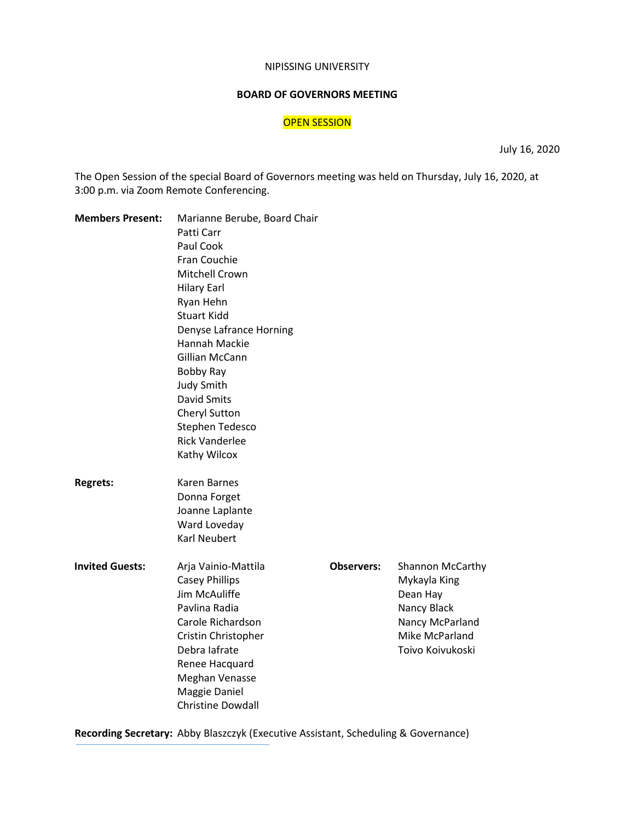#### NIPISSING UNIVERSITY

#### **BOARD OF GOVERNORS MEETING**

# OPEN SESSION

July 16, 2020

The Open Session of the special Board of Governors meeting was held on Thursday, July 16, 2020, at 3:00 p.m. via Zoom Remote Conferencing.

| <b>Members Present:</b> | Marianne Berube, Board Chair<br>Patti Carr |                   |                         |
|-------------------------|--------------------------------------------|-------------------|-------------------------|
|                         | Paul Cook                                  |                   |                         |
|                         | Fran Couchie                               |                   |                         |
|                         | Mitchell Crown                             |                   |                         |
|                         |                                            |                   |                         |
|                         | <b>Hilary Earl</b>                         |                   |                         |
|                         | Ryan Hehn                                  |                   |                         |
|                         | <b>Stuart Kidd</b>                         |                   |                         |
|                         | Denyse Lafrance Horning                    |                   |                         |
|                         | Hannah Mackie                              |                   |                         |
|                         | Gillian McCann                             |                   |                         |
|                         | Bobby Ray                                  |                   |                         |
|                         | <b>Judy Smith</b>                          |                   |                         |
|                         | <b>David Smits</b>                         |                   |                         |
|                         | Cheryl Sutton                              |                   |                         |
|                         | Stephen Tedesco                            |                   |                         |
|                         | <b>Rick Vanderlee</b>                      |                   |                         |
|                         | Kathy Wilcox                               |                   |                         |
| <b>Regrets:</b>         | Karen Barnes                               |                   |                         |
|                         | Donna Forget                               |                   |                         |
|                         | Joanne Laplante                            |                   |                         |
|                         | Ward Loveday                               |                   |                         |
|                         | <b>Karl Neubert</b>                        |                   |                         |
| <b>Invited Guests:</b>  | Arja Vainio-Mattila                        | <b>Observers:</b> | <b>Shannon McCarthy</b> |
|                         | <b>Casey Phillips</b>                      |                   | Mykayla King            |
|                         | Jim McAuliffe                              |                   | Dean Hay                |
|                         | Pavlina Radia                              |                   | Nancy Black             |
|                         | Carole Richardson                          |                   | Nancy McParland         |
|                         | Cristin Christopher                        |                   | Mike McParland          |
|                         | Debra lafrate                              |                   | Toivo Koivukoski        |
|                         | Renee Hacquard                             |                   |                         |
|                         | Meghan Venasse                             |                   |                         |
|                         | Maggie Daniel                              |                   |                         |
|                         | <b>Christine Dowdall</b>                   |                   |                         |

**Recording Secretary:** Abby Blaszczyk (Executive Assistant, Scheduling & Governance)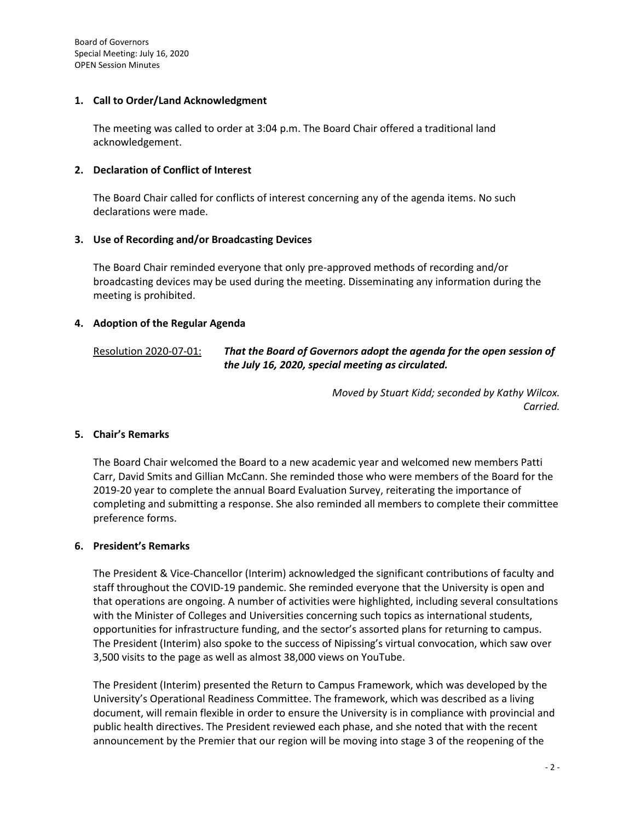Board of Governors Special Meeting: July 16, 2020 OPEN Session Minutes

## **1. Call to Order/Land Acknowledgment**

The meeting was called to order at 3:04 p.m. The Board Chair offered a traditional land acknowledgement.

## **2. Declaration of Conflict of Interest**

The Board Chair called for conflicts of interest concerning any of the agenda items. No such declarations were made.

### **3. Use of Recording and/or Broadcasting Devices**

The Board Chair reminded everyone that only pre-approved methods of recording and/or broadcasting devices may be used during the meeting. Disseminating any information during the meeting is prohibited.

### **4. Adoption of the Regular Agenda**

# Resolution 2020-07-01: *That the Board of Governors adopt the agenda for the open session of the July 16, 2020, special meeting as circulated.*

*Moved by Stuart Kidd; seconded by Kathy Wilcox. Carried.*

#### **5. Chair's Remarks**

The Board Chair welcomed the Board to a new academic year and welcomed new members Patti Carr, David Smits and Gillian McCann. She reminded those who were members of the Board for the 2019-20 year to complete the annual Board Evaluation Survey, reiterating the importance of completing and submitting a response. She also reminded all members to complete their committee preference forms.

#### **6. President's Remarks**

The President & Vice-Chancellor (Interim) acknowledged the significant contributions of faculty and staff throughout the COVID-19 pandemic. She reminded everyone that the University is open and that operations are ongoing. A number of activities were highlighted, including several consultations with the Minister of Colleges and Universities concerning such topics as international students, opportunities for infrastructure funding, and the sector's assorted plans for returning to campus. The President (Interim) also spoke to the success of Nipissing's virtual convocation, which saw over 3,500 visits to the page as well as almost 38,000 views on YouTube.

The President (Interim) presented the Return to Campus Framework, which was developed by the University's Operational Readiness Committee. The framework, which was described as a living document, will remain flexible in order to ensure the University is in compliance with provincial and public health directives. The President reviewed each phase, and she noted that with the recent announcement by the Premier that our region will be moving into stage 3 of the reopening of the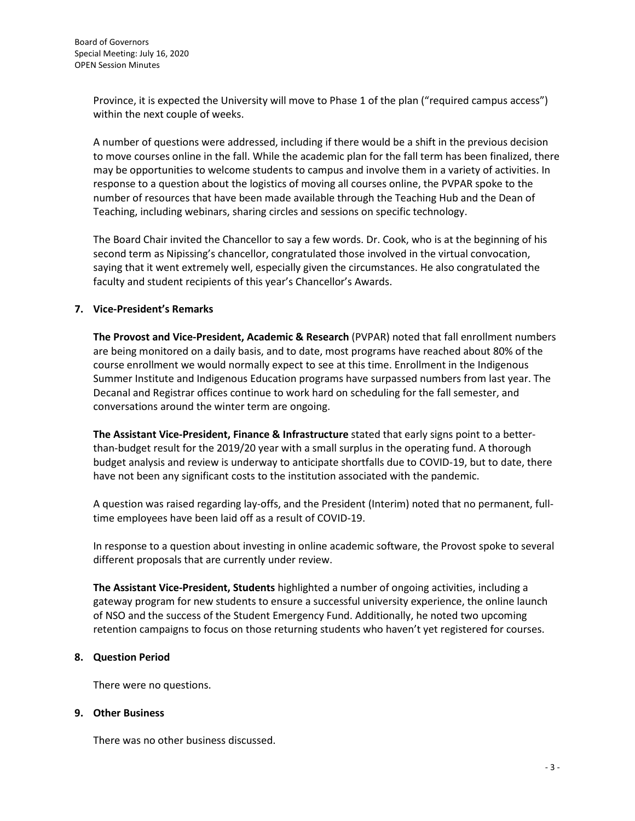Province, it is expected the University will move to Phase 1 of the plan ("required campus access") within the next couple of weeks.

A number of questions were addressed, including if there would be a shift in the previous decision to move courses online in the fall. While the academic plan for the fall term has been finalized, there may be opportunities to welcome students to campus and involve them in a variety of activities. In response to a question about the logistics of moving all courses online, the PVPAR spoke to the number of resources that have been made available through the Teaching Hub and the Dean of Teaching, including webinars, sharing circles and sessions on specific technology.

The Board Chair invited the Chancellor to say a few words. Dr. Cook, who is at the beginning of his second term as Nipissing's chancellor, congratulated those involved in the virtual convocation, saying that it went extremely well, especially given the circumstances. He also congratulated the faculty and student recipients of this year's Chancellor's Awards.

# **7. Vice-President's Remarks**

**The Provost and Vice-President, Academic & Research** (PVPAR) noted that fall enrollment numbers are being monitored on a daily basis, and to date, most programs have reached about 80% of the course enrollment we would normally expect to see at this time. Enrollment in the Indigenous Summer Institute and Indigenous Education programs have surpassed numbers from last year. The Decanal and Registrar offices continue to work hard on scheduling for the fall semester, and conversations around the winter term are ongoing.

**The Assistant Vice-President, Finance & Infrastructure** stated that early signs point to a betterthan-budget result for the 2019/20 year with a small surplus in the operating fund. A thorough budget analysis and review is underway to anticipate shortfalls due to COVID-19, but to date, there have not been any significant costs to the institution associated with the pandemic.

A question was raised regarding lay-offs, and the President (Interim) noted that no permanent, fulltime employees have been laid off as a result of COVID-19.

In response to a question about investing in online academic software, the Provost spoke to several different proposals that are currently under review.

**The Assistant Vice-President, Students** highlighted a number of ongoing activities, including a gateway program for new students to ensure a successful university experience, the online launch of NSO and the success of the Student Emergency Fund. Additionally, he noted two upcoming retention campaigns to focus on those returning students who haven't yet registered for courses.

# **8. Question Period**

There were no questions.

# **9. Other Business**

There was no other business discussed.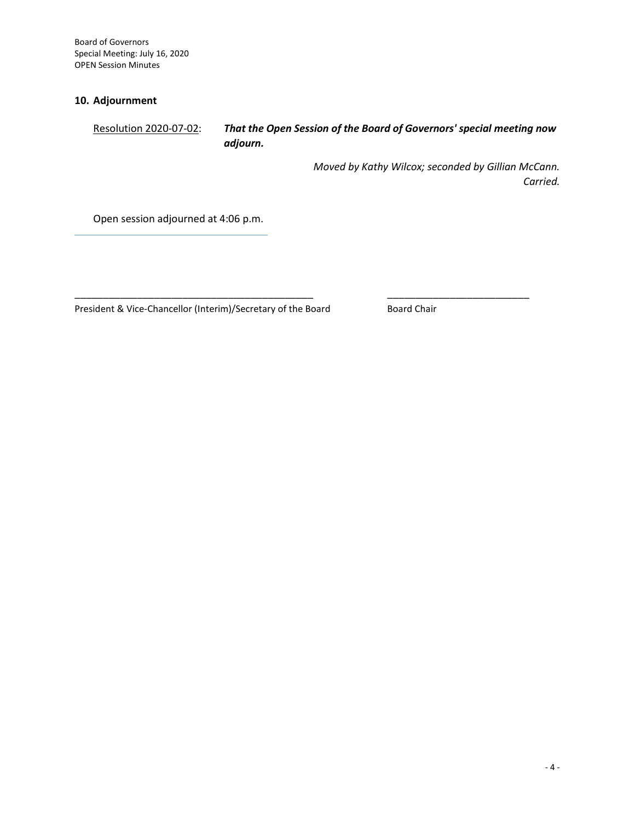Board of Governors Special Meeting: July 16, 2020 OPEN Session Minutes

# **10. Adjournment**

Resolution 2020-07-02: *That the Open Session of the Board of Governors' special meeting now adjourn.*

> *Moved by Kathy Wilcox; seconded by Gillian McCann. Carried.*

Open session adjourned at 4:06 p.m.

President & Vice-Chancellor (Interim)/Secretary of the Board Board Board Chair

\_\_\_\_\_\_\_\_\_\_\_\_\_\_\_\_\_\_\_\_\_\_\_\_\_\_\_\_\_\_\_\_\_\_\_\_\_\_\_\_\_\_ \_\_\_\_\_\_\_\_\_\_\_\_\_\_\_\_\_\_\_\_\_\_\_\_\_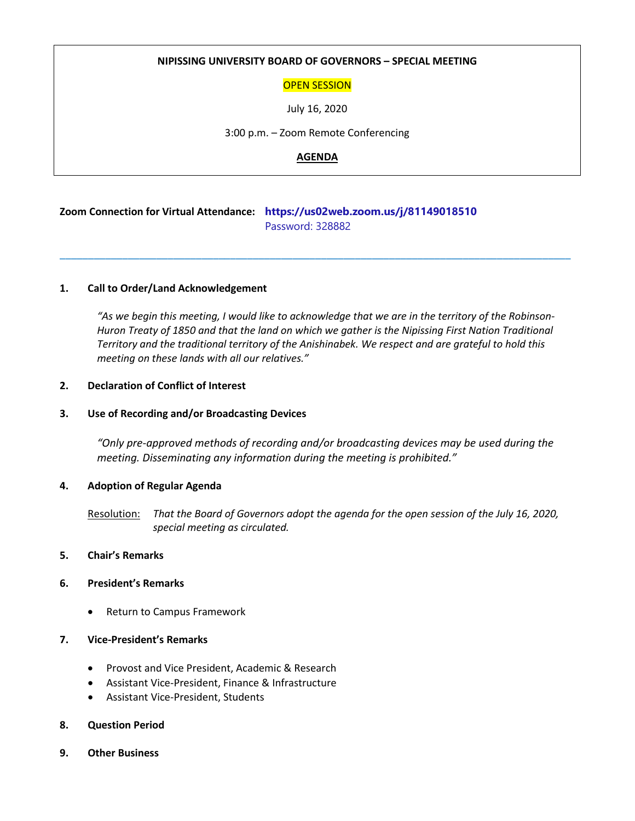### **NIPISSING UNIVERSITY BOARD OF GOVERNORS – SPECIAL MEETING**

### OPEN SESSION

July 16, 2020

3:00 p.m. – Zoom Remote Conferencing

### **AGENDA**

\_\_\_\_\_\_\_\_\_\_\_\_\_\_\_\_\_\_\_\_\_\_\_\_\_\_\_\_\_\_\_\_\_\_\_\_\_\_\_\_\_\_\_\_\_\_\_\_\_\_\_\_\_\_\_\_\_\_\_\_\_\_\_\_\_\_\_\_\_\_\_\_\_\_\_\_\_\_\_\_\_\_\_\_\_\_\_\_\_\_

# **Zoom Connection for Virtual Attendance: https://us02web.zoom.us/j/81149018510** Password: 328882

### **1. Call to Order/Land Acknowledgement**

*"As we begin this meeting, I would like to acknowledge that we are in the territory of the Robinson-Huron Treaty of 1850 and that the land on which we gather is the Nipissing First Nation Traditional Territory and the traditional territory of the Anishinabek. We respect and are grateful to hold this meeting on these lands with all our relatives."*

### **2. Declaration of Conflict of Interest**

#### **3. Use of Recording and/or Broadcasting Devices**

*"Only pre-approved methods of recording and/or broadcasting devices may be used during the meeting. Disseminating any information during the meeting is prohibited."* 

#### **4. Adoption of Regular Agenda**

Resolution: *That the Board of Governors adopt the agenda for the open session of the July 16, 2020, special meeting as circulated.*

### **5. Chair's Remarks**

#### **6. President's Remarks**

• Return to Campus Framework

## **7. Vice-President's Remarks**

- Provost and Vice President, Academic & Research
- Assistant Vice-President, Finance & Infrastructure
- Assistant Vice-President, Students

# **8. Question Period**

**9. Other Business**